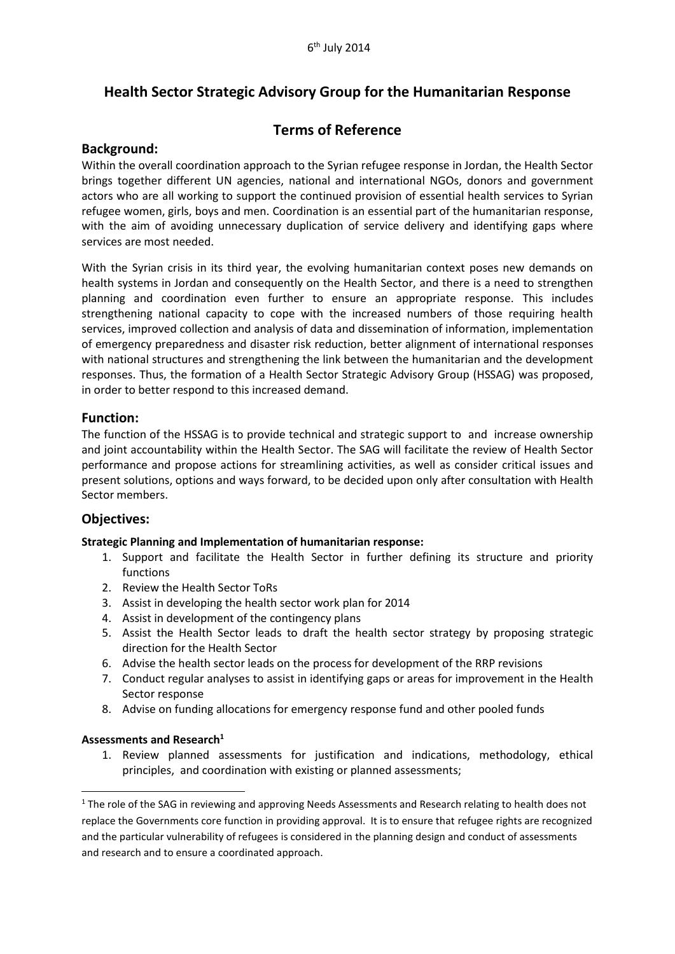# **Health Sector Strategic Advisory Group for the Humanitarian Response**

## **Terms of Reference**

## **Background:**

Within the overall coordination approach to the Syrian refugee response in Jordan, the Health Sector brings together different UN agencies, national and international NGOs, donors and government actors who are all working to support the continued provision of essential health services to Syrian refugee women, girls, boys and men. Coordination is an essential part of the humanitarian response, with the aim of avoiding unnecessary duplication of service delivery and identifying gaps where services are most needed.

With the Syrian crisis in its third year, the evolving humanitarian context poses new demands on health systems in Jordan and consequently on the Health Sector, and there is a need to strengthen planning and coordination even further to ensure an appropriate response. This includes strengthening national capacity to cope with the increased numbers of those requiring health services, improved collection and analysis of data and dissemination of information, implementation of emergency preparedness and disaster risk reduction, better alignment of international responses with national structures and strengthening the link between the humanitarian and the development responses. Thus, the formation of a Health Sector Strategic Advisory Group (HSSAG) was proposed, in order to better respond to this increased demand.

#### **Function:**

The function of the HSSAG is to provide technical and strategic support to and increase ownership and joint accountability within the Health Sector. The SAG will facilitate the review of Health Sector performance and propose actions for streamlining activities, as well as consider critical issues and present solutions, options and ways forward, to be decided upon only after consultation with Health Sector members.

## **Objectives:**

#### **Strategic Planning and Implementation of humanitarian response:**

- 1. Support and facilitate the Health Sector in further defining its structure and priority functions
- 2. Review the Health Sector ToRs
- 3. Assist in developing the health sector work plan for 2014
- 4. Assist in development of the contingency plans
- 5. Assist the Health Sector leads to draft the health sector strategy by proposing strategic direction for the Health Sector
- 6. Advise the health sector leads on the process for development of the RRP revisions
- 7. Conduct regular analyses to assist in identifying gaps or areas for improvement in the Health Sector response
- 8. Advise on funding allocations for emergency response fund and other pooled funds

#### **Assessments and Research 1**

**.** 

1. Review planned assessments for justification and indications, methodology, ethical principles, and coordination with existing or planned assessments;

<sup>&</sup>lt;sup>1</sup> The role of the SAG in reviewing and approving Needs Assessments and Research relating to health does not replace the Governments core function in providing approval. It is to ensure that refugee rights are recognized and the particular vulnerability of refugees is considered in the planning design and conduct of assessments and research and to ensure a coordinated approach.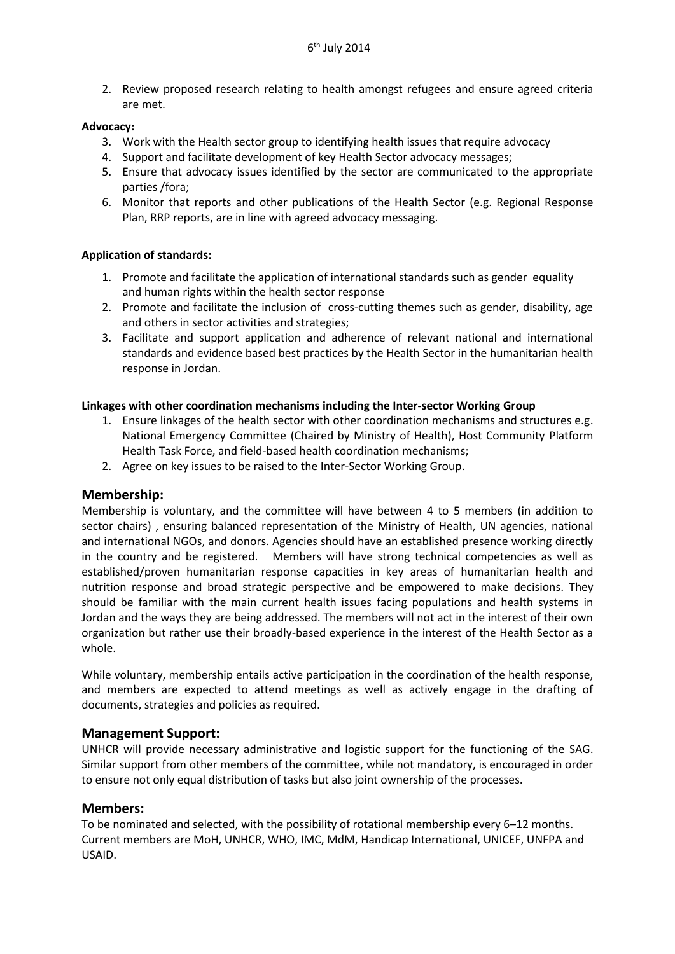2. Review proposed research relating to health amongst refugees and ensure agreed criteria are met.

#### **Advocacy:**

- 3. Work with the Health sector group to identifying health issues that require advocacy
- 4. Support and facilitate development of key Health Sector advocacy messages;
- 5. Ensure that advocacy issues identified by the sector are communicated to the appropriate parties /fora;
- 6. Monitor that reports and other publications of the Health Sector (e.g. Regional Response Plan, RRP reports, are in line with agreed advocacy messaging.

#### **Application of standards:**

- 1. Promote and facilitate the application of international standards such as gender equality and human rights within the health sector response
- 2. Promote and facilitate the inclusion of cross-cutting themes such as gender, disability, age and others in sector activities and strategies;
- 3. Facilitate and support application and adherence of relevant national and international standards and evidence based best practices by the Health Sector in the humanitarian health response in Jordan.

#### **Linkages with other coordination mechanisms including the Inter-sector Working Group**

- 1. Ensure linkages of the health sector with other coordination mechanisms and structures e.g. National Emergency Committee (Chaired by Ministry of Health), Host Community Platform Health Task Force, and field-based health coordination mechanisms;
- 2. Agree on key issues to be raised to the Inter-Sector Working Group.

## **Membership:**

Membership is voluntary, and the committee will have between 4 to 5 members (in addition to sector chairs) , ensuring balanced representation of the Ministry of Health, UN agencies, national and international NGOs, and donors. Agencies should have an established presence working directly in the country and be registered. Members will have strong technical competencies as well as established/proven humanitarian response capacities in key areas of humanitarian health and nutrition response and broad strategic perspective and be empowered to make decisions. They should be familiar with the main current health issues facing populations and health systems in Jordan and the ways they are being addressed. The members will not act in the interest of their own organization but rather use their broadly-based experience in the interest of the Health Sector as a whole.

While voluntary, membership entails active participation in the coordination of the health response, and members are expected to attend meetings as well as actively engage in the drafting of documents, strategies and policies as required.

## **Management Support:**

UNHCR will provide necessary administrative and logistic support for the functioning of the SAG. Similar support from other members of the committee, while not mandatory, is encouraged in order to ensure not only equal distribution of tasks but also joint ownership of the processes.

## **Members:**

To be nominated and selected, with the possibility of rotational membership every 6–12 months. Current members are MoH, UNHCR, WHO, IMC, MdM, Handicap International, UNICEF, UNFPA and USAID.